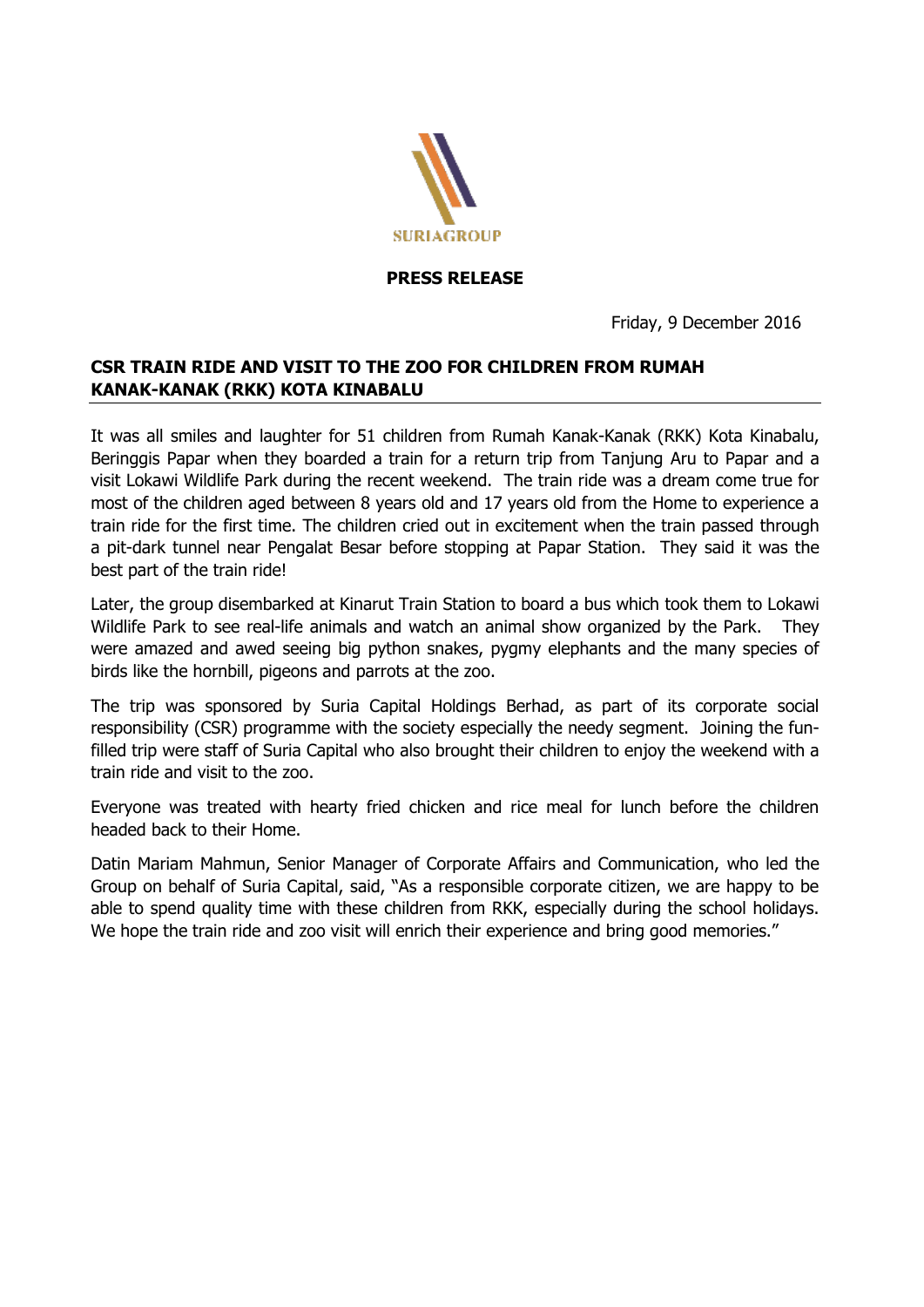

## **PRESS RELEASE**

Friday, 9 December 2016

## **CSR TRAIN RIDE AND VISIT TO THE ZOO FOR CHILDREN FROM RUMAH KANAK-KANAK (RKK) KOTA KINABALU**

It was all smiles and laughter for 51 children from Rumah Kanak-Kanak (RKK) Kota Kinabalu, Beringgis Papar when they boarded a train for a return trip from Tanjung Aru to Papar and a visit Lokawi Wildlife Park during the recent weekend. The train ride was a dream come true for most of the children aged between 8 years old and 17 years old from the Home to experience a train ride for the first time. The children cried out in excitement when the train passed through a pit-dark tunnel near Pengalat Besar before stopping at Papar Station. They said it was the best part of the train ride!

Later, the group disembarked at Kinarut Train Station to board a bus which took them to Lokawi Wildlife Park to see real-life animals and watch an animal show organized by the Park. They were amazed and awed seeing big python snakes, pygmy elephants and the many species of birds like the hornbill, pigeons and parrots at the zoo.

The trip was sponsored by Suria Capital Holdings Berhad, as part of its corporate social responsibility (CSR) programme with the society especially the needy segment. Joining the funfilled trip were staff of Suria Capital who also brought their children to enjoy the weekend with a train ride and visit to the zoo.

Everyone was treated with hearty fried chicken and rice meal for lunch before the children headed back to their Home.

Datin Mariam Mahmun, Senior Manager of Corporate Affairs and Communication, who led the Group on behalf of Suria Capital, said, "As a responsible corporate citizen, we are happy to be able to spend quality time with these children from RKK, especially during the school holidays. We hope the train ride and zoo visit will enrich their experience and bring good memories."